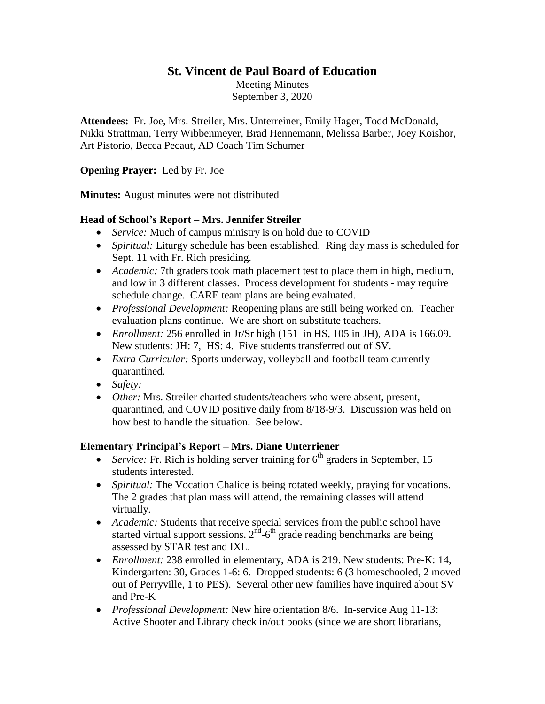## **St. Vincent de Paul Board of Education**

Meeting Minutes September 3, 2020

**Attendees:** Fr. Joe, Mrs. Streiler, Mrs. Unterreiner, Emily Hager, Todd McDonald, Nikki Strattman, Terry Wibbenmeyer, Brad Hennemann, Melissa Barber, Joey Koishor, Art Pistorio, Becca Pecaut, AD Coach Tim Schumer

#### **Opening Prayer:** Led by Fr. Joe

**Minutes:** August minutes were not distributed

#### **Head of School's Report – Mrs. Jennifer Streiler**

- *Service:* Much of campus ministry is on hold due to COVID
- *Spiritual:* Liturgy schedule has been established.Ring day mass is scheduled for Sept. 11 with Fr. Rich presiding.
- *Academic:* 7th graders took math placement test to place them in high, medium, and low in 3 different classes. Process development for students - may require schedule change. CARE team plans are being evaluated.
- *Professional Development:* Reopening plans are still being worked on. Teacher evaluation plans continue. We are short on substitute teachers.
- *Enrollment:* 256 enrolled in Jr/Sr high (151 in HS, 105 in JH), ADA is 166.09. New students: JH: 7, HS: 4. Five students transferred out of SV.
- *Extra Curricular:* Sports underway, volleyball and football team currently quarantined.
- *Safety:*
- *Other:* Mrs. Streiler charted students/teachers who were absent, present, quarantined, and COVID positive daily from 8/18-9/3. Discussion was held on how best to handle the situation. See below.

#### **Elementary Principal's Report – Mrs. Diane Unterriener**

- *Service:* Fr. Rich is holding server training for  $6<sup>th</sup>$  graders in September, 15 students interested.
- *Spiritual:* The Vocation Chalice is being rotated weekly, praying for vocations. The 2 grades that plan mass will attend, the remaining classes will attend virtually.
- *Academic:* Students that receive special services from the public school have started virtual support sessions.  $2^{\text{nd}}$ -6<sup>th</sup> grade reading benchmarks are being assessed by STAR test and IXL.
- *Enrollment:* 238 enrolled in elementary, ADA is 219. New students: Pre-K: 14, Kindergarten: 30, Grades 1-6: 6. Dropped students: 6 (3 homeschooled, 2 moved out of Perryville, 1 to PES). Several other new families have inquired about SV and Pre-K
- *Professional Development:* New hire orientation 8/6. In-service Aug 11-13: Active Shooter and Library check in/out books (since we are short librarians,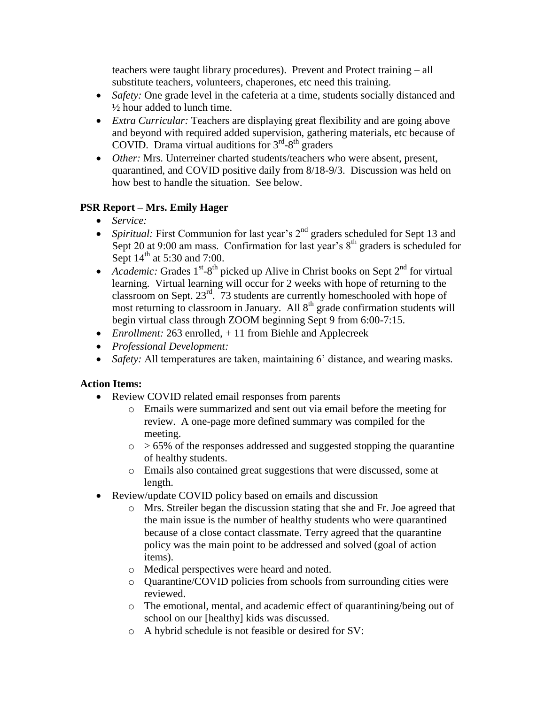teachers were taught library procedures). Prevent and Protect training – all substitute teachers, volunteers, chaperones, etc need this training.

- *Safety:* One grade level in the cafeteria at a time, students socially distanced and ½ hour added to lunch time.
- *Extra Curricular:* Teachers are displaying great flexibility and are going above and beyond with required added supervision, gathering materials, etc because of COVID. Drama virtual auditions for  $3<sup>rd</sup> - 8<sup>th</sup>$  graders
- *Other:* Mrs. Unterreiner charted students/teachers who were absent, present, quarantined, and COVID positive daily from 8/18-9/3. Discussion was held on how best to handle the situation. See below.

# **PSR Report – Mrs. Emily Hager**

- *Service:*
- Spiritual: First Communion for last year's 2<sup>nd</sup> graders scheduled for Sept 13 and Sept 20 at 9:00 am mass. Confirmation for last year's  $8<sup>th</sup>$  graders is scheduled for Sept  $14<sup>th</sup>$  at 5:30 and 7:00.
- Academic: Grades  $1^{st}$ -8<sup>th</sup> picked up Alive in Christ books on Sept  $2^{nd}$  for virtual learning. Virtual learning will occur for 2 weeks with hope of returning to the classroom on Sept. 23rd. 73 students are currently homeschooled with hope of most returning to classroom in January. All  $8<sup>th</sup>$  grade confirmation students will begin virtual class through ZOOM beginning Sept 9 from 6:00-7:15.
- *Enrollment:* 263 enrolled, + 11 from Biehle and Applecreek
- *Professional Development:*
- *Safety:* All temperatures are taken, maintaining 6' distance, and wearing masks.

### **Action Items:**

- Review COVID related email responses from parents
	- o Emails were summarized and sent out via email before the meeting for review. A one-page more defined summary was compiled for the meeting.
	- $\circ$  > 65% of the responses addressed and suggested stopping the quarantine of healthy students.
	- o Emails also contained great suggestions that were discussed, some at length.
- Review/update COVID policy based on emails and discussion
	- o Mrs. Streiler began the discussion stating that she and Fr. Joe agreed that the main issue is the number of healthy students who were quarantined because of a close contact classmate. Terry agreed that the quarantine policy was the main point to be addressed and solved (goal of action items).
	- o Medical perspectives were heard and noted.
	- o Quarantine/COVID policies from schools from surrounding cities were reviewed.
	- o The emotional, mental, and academic effect of quarantining/being out of school on our [healthy] kids was discussed.
	- o A hybrid schedule is not feasible or desired for SV: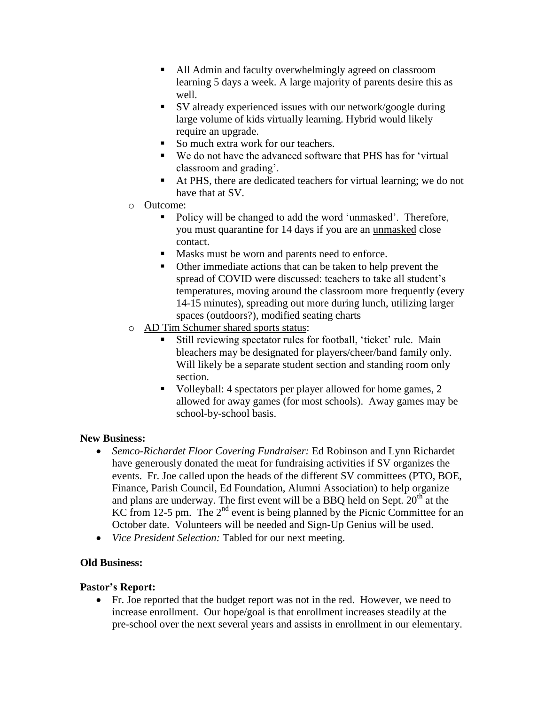- All Admin and faculty overwhelmingly agreed on classroom learning 5 days a week. A large majority of parents desire this as well.
- SV already experienced issues with our network/google during large volume of kids virtually learning. Hybrid would likely require an upgrade.
- So much extra work for our teachers.
- We do not have the advanced software that PHS has for 'virtual classroom and grading'.
- At PHS, there are dedicated teachers for virtual learning; we do not have that at SV.
- o Outcome:
	- Policy will be changed to add the word 'unmasked'. Therefore, you must quarantine for 14 days if you are an unmasked close contact.
	- Masks must be worn and parents need to enforce.
	- Other immediate actions that can be taken to help prevent the spread of COVID were discussed: teachers to take all student's temperatures, moving around the classroom more frequently (every 14-15 minutes), spreading out more during lunch, utilizing larger spaces (outdoors?), modified seating charts
- o AD Tim Schumer shared sports status:
	- Still reviewing spectator rules for football, 'ticket' rule. Main bleachers may be designated for players/cheer/band family only. Will likely be a separate student section and standing room only section.
	- Volleyball: 4 spectators per player allowed for home games, 2 allowed for away games (for most schools). Away games may be school-by-school basis.

### **New Business:**

- *Semco-Richardet Floor Covering Fundraiser:* Ed Robinson and Lynn Richardet have generously donated the meat for fundraising activities if SV organizes the events. Fr. Joe called upon the heads of the different SV committees (PTO, BOE, Finance, Parish Council, Ed Foundation, Alumni Association) to help organize and plans are underway. The first event will be a BBQ held on Sept.  $20<sup>th</sup>$  at the KC from 12-5 pm. The  $2<sup>nd</sup>$  event is being planned by the Picnic Committee for an October date. Volunteers will be needed and Sign-Up Genius will be used.
- *Vice President Selection:* Tabled for our next meeting.

# **Old Business:**

### **Pastor's Report:**

 Fr. Joe reported that the budget report was not in the red. However, we need to increase enrollment. Our hope/goal is that enrollment increases steadily at the pre-school over the next several years and assists in enrollment in our elementary.